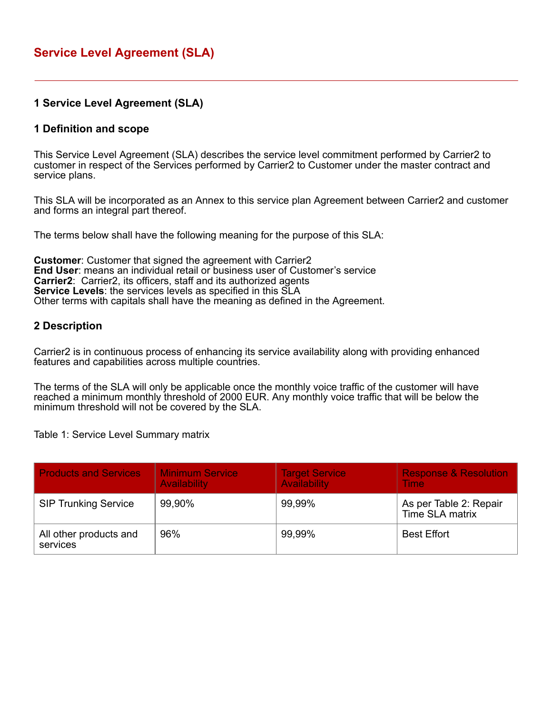# **Service Level Agreement (SLA)**

### **1 Service Level Agreement (SLA)**

#### **1 Definition and scope**

This Service Level Agreement (SLA) describes the service level commitment performed by Carrier2 to customer in respect of the Services performed by Carrier2 to Customer under the master contract and service plans.

This SLA will be incorporated as an Annex to this service plan Agreement between Carrier2 and customer and forms an integral part thereof.

The terms below shall have the following meaning for the purpose of this SLA:

**Customer**: Customer that signed the agreement with Carrier2 **End User**: means an individual retail or business user of Customer's service **Carrier2**: Carrier2, its officers, staff and its authorized agents **Service Levels**: the services levels as specified in this SLA Other terms with capitals shall have the meaning as defined in the Agreement.

#### **2 Description**

Carrier2 is in continuous process of enhancing its service availability along with providing enhanced features and capabilities across multiple countries.

The terms of the SLA will only be applicable once the monthly voice traffic of the customer will have reached a minimum monthly threshold of 2000 EUR. Any monthly voice traffic that will be below the minimum threshold will not be covered by the SLA.

Table 1: Service Level Summary matrix

| <b>Products and Services</b>       | <b>Minimum Service</b><br><b>Availability</b> | <b>Target Service</b><br><b>Availability</b> | <b>Response &amp; Resolution</b><br><b>Time</b> |
|------------------------------------|-----------------------------------------------|----------------------------------------------|-------------------------------------------------|
| <b>SIP Trunking Service</b>        | 99,90%                                        | 99,99%                                       | As per Table 2: Repair<br>Time SLA matrix       |
| All other products and<br>services | 96%                                           | 99,99%                                       | <b>Best Effort</b>                              |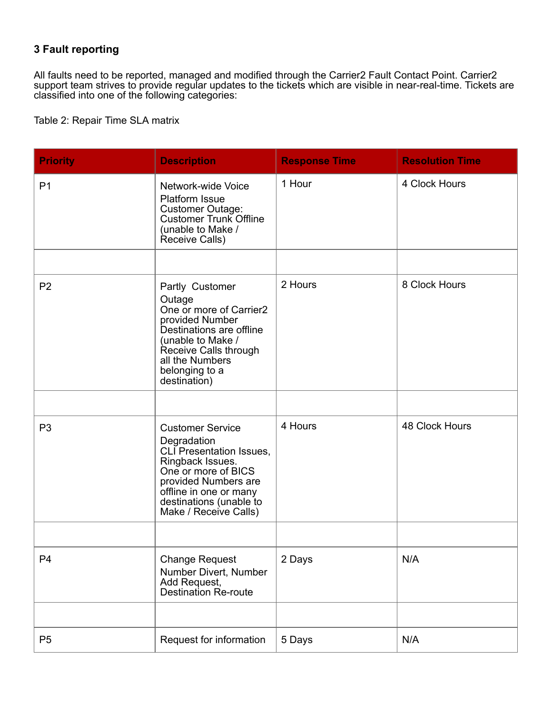# **3 Fault reporting**

All faults need to be reported, managed and modified through the Carrier2 Fault Contact Point. Carrier2 support team strives to provide regular updates to the tickets which are visible in near-real-time. Tickets are classified into one of the following categories:

Table 2: Repair Time SLA matrix

| <b>Priority</b> | <b>Description</b>                                                                                                                                                                                                  | <b>Response Time</b> | <b>Resolution Time</b> |
|-----------------|---------------------------------------------------------------------------------------------------------------------------------------------------------------------------------------------------------------------|----------------------|------------------------|
| P <sub>1</sub>  | Network-wide Voice<br><b>Platform Issue</b><br><b>Customer Outage:</b><br><b>Customer Trunk Offline</b><br>(unable to Make /<br>Receive Calls)                                                                      | 1 Hour               | 4 Clock Hours          |
|                 |                                                                                                                                                                                                                     |                      |                        |
| P <sub>2</sub>  | Partly Customer<br>Outage<br>One or more of Carrier2<br>provided Number<br>Destinations are offline<br>(unable to Make /<br>Receive Calls through<br>all the Numbers<br>belonging to a<br>destination)              | 2 Hours              | 8 Clock Hours          |
|                 |                                                                                                                                                                                                                     |                      |                        |
| P <sub>3</sub>  | <b>Customer Service</b><br>Degradation<br>CLI Presentation Issues,<br>Ringback Issues.<br>One or more of BICS<br>provided Numbers are<br>offline in one or many<br>destinations (unable to<br>Make / Receive Calls) | 4 Hours              | 48 Clock Hours         |
|                 |                                                                                                                                                                                                                     |                      |                        |
| P <sub>4</sub>  | <b>Change Request</b><br>Number Divert, Number<br>Add Request,<br><b>Destination Re-route</b>                                                                                                                       | 2 Days               | N/A                    |
|                 |                                                                                                                                                                                                                     |                      |                        |
| P <sub>5</sub>  | Request for information                                                                                                                                                                                             | 5 Days               | N/A                    |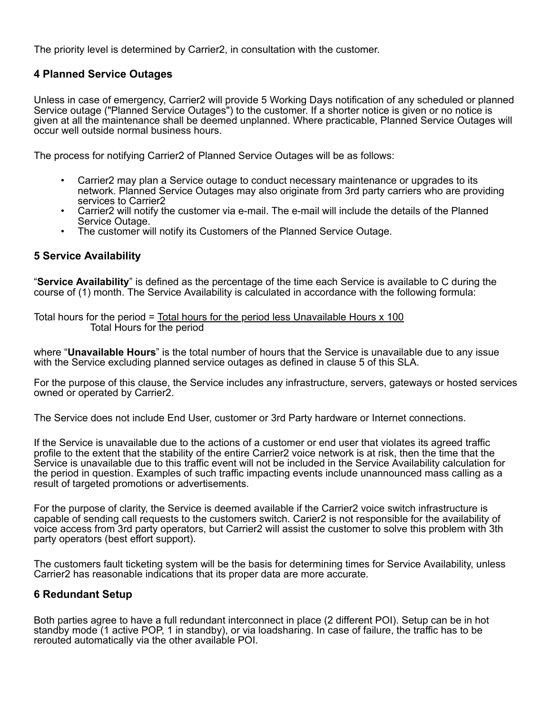The priority level is determined by Carrier2, in consultation with the customer.

## **4 Planned Service Outages**

Unless in case of emergency, Carrier2 will provide 5 Working Days notification of any scheduled or planned Service outage ("Planned Service Outages") to the customer. If a shorter notice is given or no notice is given at all the maintenance shall be deemed unplanned. Where practicable, Planned Service Outages will occur well outside normal business hours.

The process for notifying Carrier2 of Planned Service Outages will be as follows:

- Carrier2 may plan a Service outage to conduct necessary maintenance or upgrades to its network. Planned Service Outages may also originate from 3rd party carriers who are providing services to Carrier2
- Carrier2 will notify the customer via e-mail. The e-mail will include the details of the Planned Service Outage.
- The customer will notify its Customers of the Planned Service Outage.

### **5 Service Availability**

"**Service Availability**" is defined as the percentage of the time each Service is available to C during the course of (1) month. The Service Availability is calculated in accordance with the following formula:

Total hours for the period = Total hours for the period less Unavailable Hours  $x$  100 Total Hours for the period

where "**Unavailable Hours**" is the total number of hours that the Service is unavailable due to any issue with the Service excluding planned service outages as defined in clause 5 of this SLA.

For the purpose of this clause, the Service includes any infrastructure, servers, gateways or hosted services owned or operated by Carrier2.

The Service does not include End User, customer or 3rd Party hardware or Internet connections.

If the Service is unavailable due to the actions of a customer or end user that violates its agreed traffic profile to the extent that the stability of the entire Carrier2 voice network is at risk, then the time that the Service is unavailable due to this traffic event will not be included in the Service Availability calculation for the period in question. Examples of such traffic impacting events include unannounced mass calling as a result of targeted promotions or advertisements.

For the purpose of clarity, the Service is deemed available if the Carrier2 voice switch infrastructure is capable of sending call requests to the customers switch. Carier2 is not responsible for the availability of voice access from 3rd party operators, but Carrier2 will assist the customer to solve this problem with 3th party operators (best effort support).

The customers fault ticketing system will be the basis for determining times for Service Availability, unless Carrier2 has reasonable indications that its proper data are more accurate.

## **6 Redundant Setup**

Both parties agree to have a full redundant interconnect in place (2 different POI). Setup can be in hot standby mode (1 active POP, 1 in standby), or via loadsharing. In case of failure, the traffic has to be rerouted automatically via the other available POI.